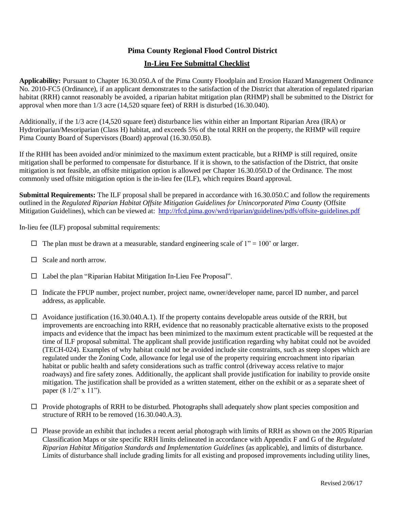## **Pima County Regional Flood Control District**

## **In-Lieu Fee Submittal Checklist**

**Applicability:** Pursuant to Chapter 16.30.050.A of the Pima County Floodplain and Erosion Hazard Management Ordinance No. 2010-FC5 (Ordinance), if an applicant demonstrates to the satisfaction of the District that alteration of regulated riparian habitat (RRH) cannot reasonably be avoided, a riparian habitat mitigation plan (RHMP) shall be submitted to the District for approval when more than 1/3 acre (14,520 square feet) of RRH is disturbed (16.30.040).

Additionally, if the 1/3 acre (14,520 square feet) disturbance lies within either an Important Riparian Area (IRA) or Hydroriparian/Mesoriparian (Class H) habitat, and exceeds 5% of the total RRH on the property, the RHMP will require Pima County Board of Supervisors (Board) approval (16.30.050.B).

If the RHH has been avoided and/or minimized to the maximum extent practicable, but a RHMP is still required, onsite mitigation shall be performed to compensate for disturbance. If it is shown, to the satisfaction of the District, that onsite mitigation is not feasible, an offsite mitigation option is allowed per Chapter 16.30.050.D of the Ordinance. The most commonly used offsite mitigation option is the in-lieu fee (ILF), which requires Board approval.

**Submittal Requirements:** The ILF proposal shall be prepared in accordance with 16.30.050.C and follow the requirements outlined in the *Regulated Riparian Habitat Offsite Mitigation Guidelines for Unincorporated Pima County* (Offsite Mitigation Guidelines), which can be viewed at: <http://rfcd.pima.gov/wrd/riparian/guidelines/pdfs/offsite-guidelines.pdf>

In-lieu fee (ILF) proposal submittal requirements:

- $\Box$  The plan must be drawn at a measurable, standard engineering scale of 1" = 100' or larger.
- $\Box$  Scale and north arrow.
- Label the plan "Riparian Habitat Mitigation In-Lieu Fee Proposal".
- $\Box$  Indicate the FPUP number, project number, project name, owner/developer name, parcel ID number, and parcel address, as applicable.
- $\Box$  Avoidance justification (16.30.040.A.1). If the property contains developable areas outside of the RRH, but improvements are encroaching into RRH, evidence that no reasonably practicable alternative exists to the proposed impacts and evidence that the impact has been minimized to the maximum extent practicable will be requested at the time of ILF proposal submittal. The applicant shall provide justification regarding why habitat could not be avoided (TECH-024). Examples of why habitat could not be avoided include site constraints, such as steep slopes which are regulated under the Zoning Code, allowance for legal use of the property requiring encroachment into riparian habitat or public health and safety considerations such as traffic control (driveway access relative to major roadways) and fire safety zones. Additionally, the applicant shall provide justification for inability to provide onsite mitigation. The justification shall be provided as a written statement, either on the exhibit or as a separate sheet of paper (8 1/2" x 11").
- $\Box$  Provide photographs of RRH to be disturbed. Photographs shall adequately show plant species composition and structure of RRH to be removed (16.30.040.A.3).
- $\Box$  Please provide an exhibit that includes a recent aerial photograph with limits of RRH as shown on the 2005 Riparian Classification Maps or site specific RRH limits delineated in accordance with Appendix F and G of the *Regulated Riparian Habitat Mitigation Standards and Implementation Guidelines* (as applicable), and limits of disturbance. Limits of disturbance shall include grading limits for all existing and proposed improvements including utility lines,